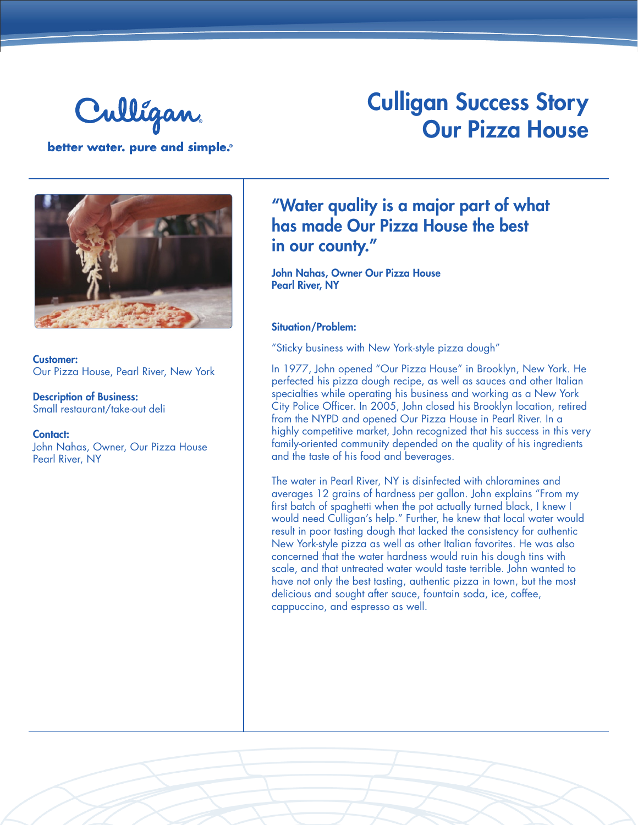

## Culligan Success Story Our Pizza House

better water. pure and simple.®



Customer: Our Pizza House, Pearl River, New York

Description of Business: Small restaurant/take-out deli

Contact: John Nahas, Owner, Our Pizza House Pearl River, NY

### "Water quality is a major part of what has made Our Pizza House the best in our county."

John Nahas, Owner Our Pizza House Pearl River, NY

#### Situation/Problem:

"Sticky business with New York-style pizza dough"

In 1977, John opened "Our Pizza House" in Brooklyn, New York. He perfected his pizza dough recipe, as well as sauces and other Italian specialties while operating his business and working as a New York City Police Officer. In 2005, John closed his Brooklyn location, retired from the NYPD and opened Our Pizza House in Pearl River. In a highly competitive market, John recognized that his success in this very family-oriented community depended on the quality of his ingredients and the taste of his food and beverages.

The water in Pearl River, NY is disinfected with chloramines and averages 12 grains of hardness per gallon. John explains "From my first batch of spaghetti when the pot actually turned black, I knew I would need Culligan's help." Further, he knew that local water would result in poor tasting dough that lacked the consistency for authentic New York-style pizza as well as other Italian favorites. He was also concerned that the water hardness would ruin his dough tins with scale, and that untreated water would taste terrible. John wanted to have not only the best tasting, authentic pizza in town, but the most delicious and sought after sauce, fountain soda, ice, coffee, cappuccino, and espresso as well.